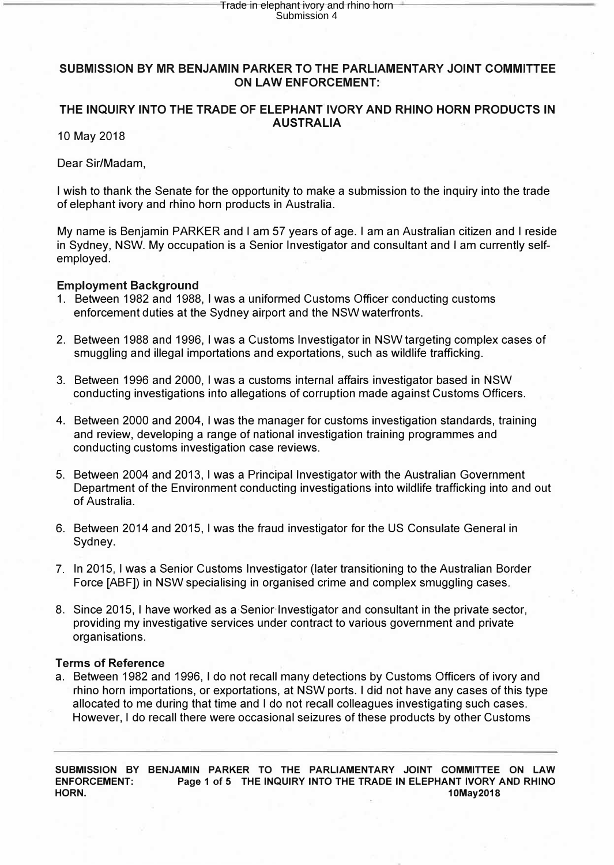#### **SUBMISSION BY MR BENJAMIN PARKER TO THE PARLIAMENTARY JOINT COMMITTEE ON LAW ENFORCEMENT:**

### **THE INQUIRY INTO THE TRADE OF ELEPHANT IVORY AND RHINO HORN PRODUCTS IN AUSTRALIA**

10 May 2018

Dear Sir/Madam,

I wish to thank the Senate for the opportunity to make a submission to the inquiry into the trade of elephant ivory and rhino horn products in Australia.

My name is Benjamin PARKER and I am 57 years of age. I am an Australian citizen and I reside in Sydney, NSW. My occupation is a Senior Investigator and consultant and I am currently selfemployed.

#### **Employment Background**

- 1. Between 1982 and 1988, I was a uniformed Customs Officer conducting customs enforcement duties at the Sydney airport and the NSW waterfronts.
- 2. Between 1988 and 1996, I was a Customs Investigator in NSW targeting complex cases of smuggling and illegal importations and exportations, such as wildlife trafficking.
- 3. Between 1996 and 2000, I was a customs internal affairs investigator based in NSW conducting investigations into allegations of corruption made against Customs Officers.
- 4. Between 2000 and 2004, I was the manager for customs investigation standards, training and review, developing a range of national investigation training programmes and conducting customs investigation case reviews.
- 5. Between 2004 and 2013, I was a Principal Investigator with the Australian Government Department of the Environment conducting investigations into wildlife trafficking into and out of Australia.
- 6. Between 2014 and 2015, I was the fraud investigator for the US Consulate General in Sydney.
- 7. In 2015, I was a Senior Customs Investigator (later transitioning to the Australian Border Force [ABF]) in NSW specialising in organised crime and complex smuggling cases.
- 8. Since 2015, I have worked as a-Senior Investigator and consultant in the private sector, providing my investigative services under contract to various government and private organisations.

#### **Terms of Reference**

a. Between 1982 and 1996, I do not recall many detections by Customs Officers of ivory and rhino horn importations, or exportations, at NSW ports. I did not have any cases of this type allocated to me during that time and I do not recall colleagues investigating such cases. However, I do recall there were occasional seizures of these products by other Customs

**SUBMISSION BY BENJAMIN PARKER TO THE PARLIAMENTARY JOINT COMMITTEE ON LAW**  Page 1 of 5 THE INQUIRY INTO THE TRADE IN ELEPHANT IVORY AND RHINO **HORN.** 10May2018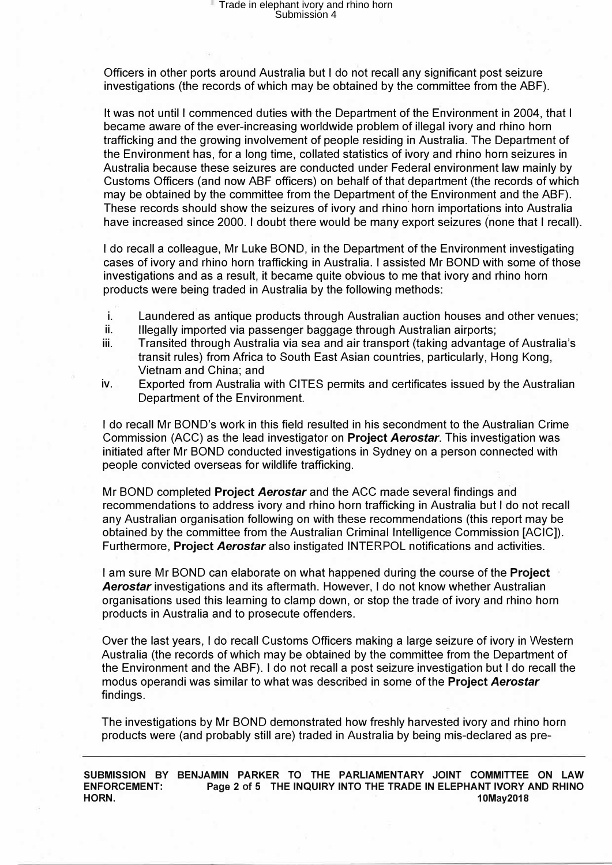Officers in other ports around Australia but I do not recall any significant post seizure investigations (the records of which may be obtained by the committee from the ABF).

It was not until I commenced duties with the Department of the Environment in 2004, that I became aware of the ever-increasing worldwide problem of illegal ivory and rhino horn trafficking and the growing involvement of people residing in Australia. The Department of the Environment has, for a long time, collated statistics of ivory and rhino horn seizures in Australia because these seizures are conducted under Federal environment law mainly by Customs Officers (and now ABF officers) on behalf of that department (the records of which may be obtained by the committee from the Department of the Environment and the ABF). These records should show the seizures of ivory and rhino horn importations into Australia have increased since 2000. I doubt there would be many export seizures (none that I recall).

I do recall a colleague, Mr Luke BOND, in the Department of the Environment investigating cases of ivory and rhino horn trafficking in Australia. I assisted Mr BOND with some of those investigations and as a result, it became quite obvious to me that ivory and rhino horn products were being traded in Australia by the following methods:

- i. Laundered as antique products through Australian auction houses and other venues;
- ii. Illegally imported via passenger baggage through Australian airports;
- iii. Transited through Australia via sea and air transport (taking advantage of Australia's transit rules) from Africa to South East Asian countries, particularly, Hong Kong, Vietnam and China; and
- iv. Exported from Australia with CITES permits and certificates issued by the Australian Department of the Environment.

I do recall Mr BOND's work in this field resulted in his secondment to the Australian Crime Commission (ACC) as the lead investigator on **Project** *Aerostar.* This investigation was initiated after Mr BOND conducted investigations in Sydney on a person connected with people convicted overseas for wildlife trafficking.

Mr BOND completed **Project** *Aerostar* and the ACC made several findings and recommendations to address ivory and rhino horn trafficking in Australia but I do not recall any Australian organisation following on with these recommendations (this report may be obtained by the committee from the Australian Criminal Intelligence Commission [ACIC]). Furthermore; **Project** *Aerostar* also instigated INTERPOL notifications and activities.

I am sure Mr BOND can elaborate on what happened during the course of the **Project** *Aerostar* investigations and its aftermath. However, I do not know whether Australian organisations used this learning to clamp down, or stop the trade of ivory and rhino horn products in Australia and to prosecute offenders.

Over the last years, I do recall Customs Officers making a large seizure of ivory in Western Australia (the records of which may be obtained by the committee from the Department of the Environment and the ABF). I do not recall a post seizure investigation but I do recall the modus operandi was similar to what was described in some of the **Project** *Aerostar* findings.

The investigations by Mr BOND demonstrated how freshly harvested ivory and rhino horn products were (and probably still are) traded in Australia by being mis-declared as pre-

**SUBMISSION BY BENJAMIN PARKER TO THE PARLIAMENTARY JOINT COMMITTEE ON LAW ENFORCEMENT: Page 2 of 5 THE INQUIRY INTO THE TRADE IN ELEPHANT IVORY AND RHINO HORN.** 10May2018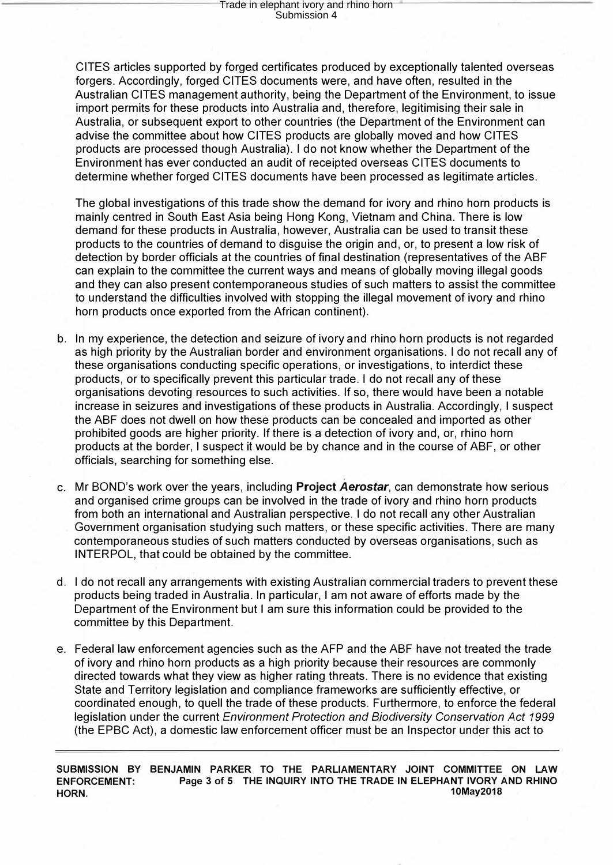CITES articles supported by forged certificates produced by exceptionally talented overseas forgers. Accordingly, forged CITES documents were, and have often, resulted in the Australian CITES management authority, being the Department of the Environment, to issue import permits for these products into Australia and, therefore, legitimising their sale in Australia, or subsequent export to other countries (the Department of the Environment can advise the committee about how CITES products are globally moved and how CITES products are processed though Australia). I do not know whether the Department of the Environment has ever conducted an audit of receipted overseas CITES documents to determine whether forged CITES documents have been processed as legitimate articles.

The global investigations of this trade show the demand for ivory and rhino horn products is mainly centred in South East Asia being Hong Kong, Vietnam and China. There is low demand for these products in Australia, however, Australia can be used to transit these products to the countries of demand to disguise the origin and, or, to present a low risk of detection by border officials at the countries of final destination (representatives of the ABF can explain to the committee the current ways and means of globally moving illegal goods and they can also present contemporaneous studies of such matters to assist the committee to understand the difficulties involved with stopping the illegal movement of ivory and rhino horn products once exported from the African continent).

- b. In my experience, the detection and seizure of ivory and rhino horn products is not regarded as high priority by the Australian border and environment organisations. I do not recall any of these organisations conducting specific operations, or investigations, to interdict these products, or to specifically prevent this particular trade. I do not recall any of these organisations devoting resources to such activities. If so, there would have been a notable increase in seizures and investigations of these products in Australia. Accordingly, I suspect the ABF does not dwell on how these products can be concealed and imported as other prohibited goods are higher priority. If there is a detection of ivory and, or, rhino horn products at the border, I suspect it would be by chance and in the course of ABF, or other officials, searching for something else.
- c. Mr BOND's work over the years, including **Project** *Aerostar*, can demonstrate how serious and organised crime groups can be involved in the trade of ivory and rhino horn products from both an international and Australian perspective. I do not recall any other Australian Government organisation studying such matters, or these specific activities. There are many contemporaneous studies of such matters conducted by overseas organisations, such as INTERPOL, that could be obtained by the committee.
- d. I do not recall any arrangements with existing Australian commercial traders to prevent these products being traded in Australia. In particular, I am not aware of efforts made by the Department of the Environment but I am sure this information could be provided to the committee by this Department.
- e. Federal law enforcement agencies such as the AFP and the ABF have not treated the trade of ivory and rhino horn products as a high priority because their resources are commonly directed towards what they view as higher rating threats. There is no evidence that existing State and Territory legislation and compliance frameworks are sufficiently effective, or coordinated enough, to quell the trade of these products. Furthermore, to enforce the federal legislation under the current *Environment Protection and Biodiversity Conservation Act 1999* (the EPBC Act), a domestic law enforcement officer must be an Inspector und�r this act to

**SUBMISSION BY BENJAMIN PARKER TO THE PARLIAMENTARY JOINT COMMITTEE ON LAW ENFORCEMENT: Page 3 of 5 THE INQUIRY INTO THE TRADE IN ELEPHANT IVORY AND RHINO HORN. 10May2018**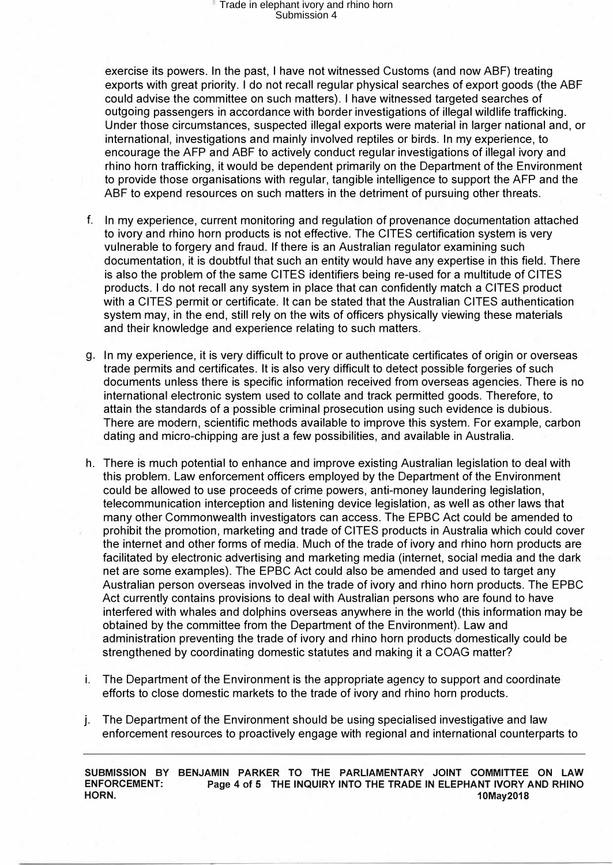exercise its powers. In the past, I have not witnessed Customs (and now ABF) treating exports with great priority. I do not recall regular physical searches of export goods (the ABF could advise the committee on such matters). I have witnessed targeted searches of outgoing passengers in accordance with border investigations of illegal wildlife trafficking. Under those circumstances, suspected illegal exports were material in larger national and, or international, investigations and mainly involved reptiles or birds. In my experience, to encourage the AFP and ABF to actively conduct regular investigations of illegal ivory and rhino horn trafficking, it would be dependent primarily on the Department of the Environment to provide those organisations with regular, tangible intelligence to support the AFP and the ABF to expend resources on such matters in the detriment of pursuing other threats.

- f. In my experience, current monitoring and regulation of provenance do�umentation attached to ivory and rhino horn products is not effective. The CITES certification system is very vulnerable to forgery and fraud. If there is an Australian regulator examining such documentation, it is doubtful that such an entity would have any expertise in this field. There is also the problem of the same CITES identifiers being re-used for a multitude of CITES products. I do not recall any system in place that can confidently match a CITES product with a CITES permit or certificate. It can be stated that the Australian CITES authentication system may, in the end, still rely on the wits of officers physically viewing these materials and their knowledge and experience relating to such matters.
- g. In my experience, it is very difficult to prove or authenticate certificates of origin or overseas trade permits and certificates. It is also very difficult to detect possible forgeries of such documents unless there is specific information received from overseas agencies. There is no international electronic system used to collate and track permitted goods. Therefore, to attain the standards of a possible criminal prosecution using such evidence is dubious. There are modern, scientific methods available to improve this system. For example, carbon . dating and micro-chipping are just a few possibilities, and available in Australia.
- h. There is much potential to enhance and improve existing Australian legislation to deal with this problem. Law enforcement officers employed by the Department of the Environment could be allowed to use proceeds of crime powers, anti-money laundering legislation, telecommunication interception and listening device legislation, as well as other laws that many other Commonwealth investigators can access. The EPBC Act could be amended to prohibit the promotion, marketing and trade of CITES products in Australia which could cover the internet and other forms of media. Much of the trade of ivory and rhino horn products are facilitated by electronic advertising and marketing media (internet, social media and the dark net are some examples). The EPBC Act could also be amended and used to target any Australian person overseas involved in the trade of ivory and rhino horn products. The EPBC Act currently contains provisions to deal with Australian persons who are found to have interfered with whales and dolphins overseas anywhere in the world (this information may be obtained by the committee from the Department of the Environment). Law and administration preventing the trade of ivory and rhino horn products domestically could be strengthened by coordinating domestic statutes and making it a COAG matter?
- i. The Department of the Environment is the appropriate agency to support and coordinate efforts to close domestic markets to the trade of ivory and rhino horn products.
- j. The Department of the Environment should be using specialised investigative and law enforcement resources to proactively engage with regional and international counterparts to

**SUBMISSION BY BENJAMIN PARKER TO THE PARLIAMENTARY JOINT COMMITTEE ON LAW ENFORCEMENT: Page 4 of 5 THE INQUIRY INTO THE TRADE IN ELEPHANT IVORY AND RHINO HORN. 10May2018**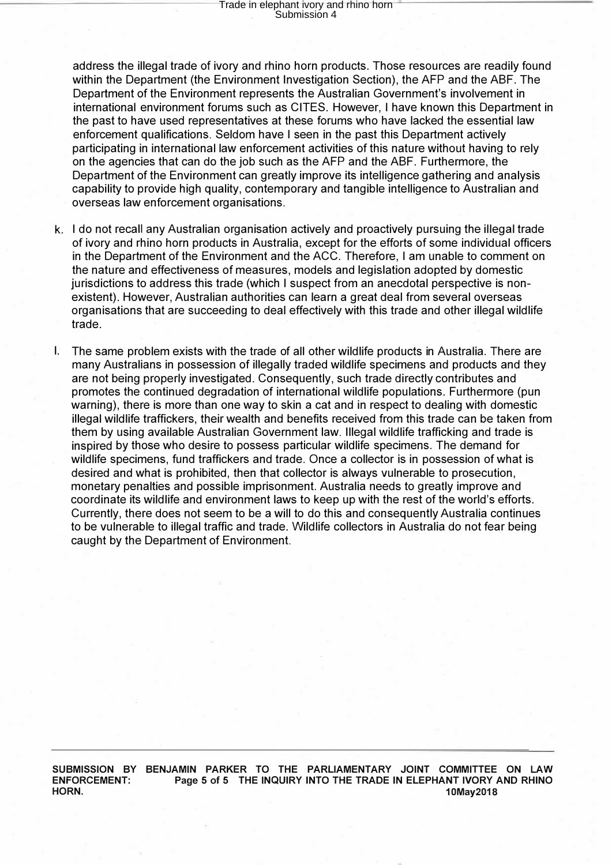address the illegal trade of ivory and rhino horn products. Those resources are readily found within the Department (the Environment Investigation Section), the AFP and the ABF. The Department of the Environment represents the Australian Government's involvement in international environment forums such as CITES. However, I have known this Department in the past to have used representatives at these forums who have lacked the essential law enforcement qualifications. Seldom have I seen in the past this Department actively participating in international law enforcement activities of this nature without having to rely on the agencies that can do the job such as the AFP and the ABF. Furthermore, the Department of the Environment can greatly improve its intelligence gathering and analysis capability to provide high quality, contemporary and tangible intelligence to Australian and overseas law enforcement organisations.

- k. I do not recall any Australian organisation actively and proactively pursuing the illegal trade of ivory and rhino horn products in Australia, except for the efforts of some individual officers in the Department of the Environment and the ACC. Therefore, I am unable to comment on the nature and effectiveness of measures, models and legislation adopted by domestic jurisdictions to address this trade (which I suspect from an anecdotal perspective is nonexistent). However, Australian authorities can learn a great deal from several overseas organisations that are succeeding to deal effectively with this trade and other illegal wildlife trade.
- I. The same problem exists with the trade of all other wildlife products in Australia. There are many Australians in possession of illegally traded wildlife specimens and products and they are not being properly investigated. Consequently, such trade directly contributes and promotes the continued degradation of international wildlife populations. Furthermore (pun warning), there is more than one way to skin a cat and in respect to dealing with domestic illegal wildlife traffickers, their wealth and benefits received from this trade can be taken from them by using available Australian Government law. Illegal wildlife trafficking and trade is inspired by those who desire to possess particular wildlife specimens. The demand for wildlife specimens, fund traffickers and trade. Once a collector is in possession of what is desired and what is prohibited, then that collector is always vulnerable to prosecution, monetary penalties and possible imprisonment. Australia needs to greatly improve and coordinate its wildlife and environment laws to keep up with the rest of the world's efforts. Currently, there does not seem to be a will to do this and consequently Australia continues to be vulnerable to illegal traffic and trade. Wildlife collectors in Australia do not fear being caught by the Department of Environment.

**SUBMISSION BY BENJAMIN PARKER TO THE PARLIAMENTARY JOINT COMMITTEE ON LAW ENFORCEMENT: Page 5 of 5 THE INQUIRY INTO THE TRADE IN ELEPHANT IVORY AND RHINO HORN. 10May2018**